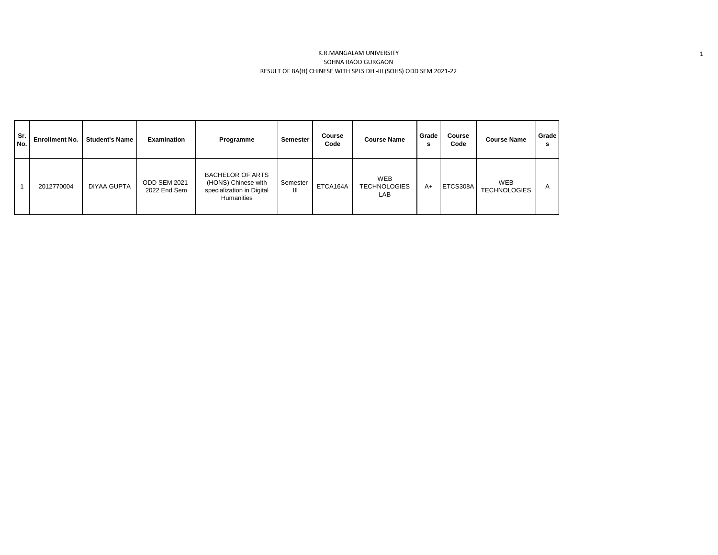## K.R.MANGALAM UNIVERSITY SOHNA RAOD GURGAON RESULT OF BA(H) CHINESE WITH SPLS DH -III (SOHS) ODD SEM 2021-22

| Sr.<br>No. | <b>Enrollment No.</b> | <b>Student's Name</b> | <b>Examination</b>                   | Programme                                                                                 | <b>Semester</b> | Course<br>Code | <b>Course Name</b>                       | Grade<br>s | Course<br>Code | <b>Course Name</b>         | Grade<br>s |
|------------|-----------------------|-----------------------|--------------------------------------|-------------------------------------------------------------------------------------------|-----------------|----------------|------------------------------------------|------------|----------------|----------------------------|------------|
|            | 2012770004            | <b>DIYAA GUPTA</b>    | <b>ODD SEM 2021-</b><br>2022 End Sem | <b>BACHELOR OF ARTS</b><br>(HONS) Chinese with<br>specialization in Digital<br>Humanities | Semester-<br>Ш  | ETCA164A       | <b>WEB</b><br><b>TECHNOLOGIES</b><br>LAB | A+         | ETCS308A       | WEB<br><b>TECHNOLOGIES</b> |            |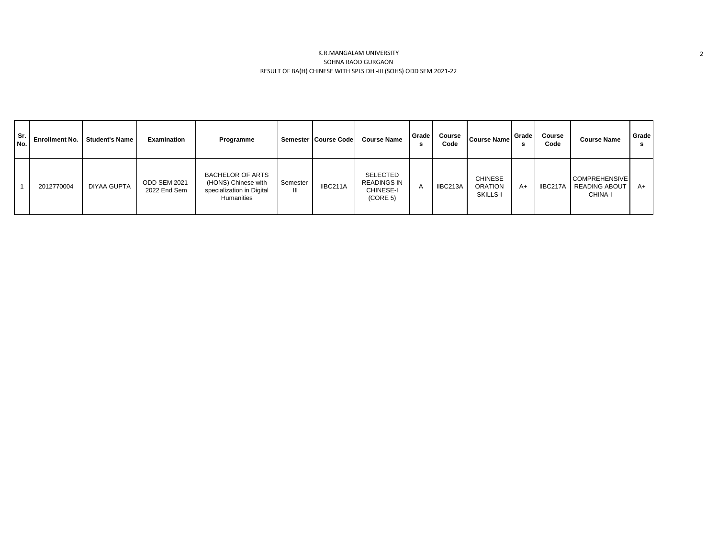## K.R.MANGALAM UNIVERSITY SOHNA RAOD GURGAON RESULT OF BA(H) CHINESE WITH SPLS DH -III (SOHS) ODD SEM 2021-22

| Sr.<br>No. | <b>Enrollment No.</b> | <b>Student's Name</b> | <b>Examination</b>            | Programme                                                                                 |           | Semester   Course Code | <b>Course Name</b>                                      | Grade I<br>s   | Course<br>Code | <b>Course Name</b>                    | Grade  <br>э | Course<br>Code | <b>Course Name</b>                                      | Grade |
|------------|-----------------------|-----------------------|-------------------------------|-------------------------------------------------------------------------------------------|-----------|------------------------|---------------------------------------------------------|----------------|----------------|---------------------------------------|--------------|----------------|---------------------------------------------------------|-------|
|            | 2012770004            | <b>DIYAA GUPTA</b>    | ODD SEM 2021-<br>2022 End Sem | <b>BACHELOR OF ARTS</b><br>(HONS) Chinese with<br>specialization in Digital<br>Humanities | Semester- | IIBC211A               | SELECTED<br><b>READINGS IN</b><br>CHINESE-I<br>(CORE 5) | $\overline{A}$ | IIBC213A       | CHINESE<br><b>ORATION</b><br>SKILLS-I | $A+$         | IIBC217A       | <b>COMPREHENSIVE</b><br><b>READING ABOUT</b><br>CHINA-I | A+    |